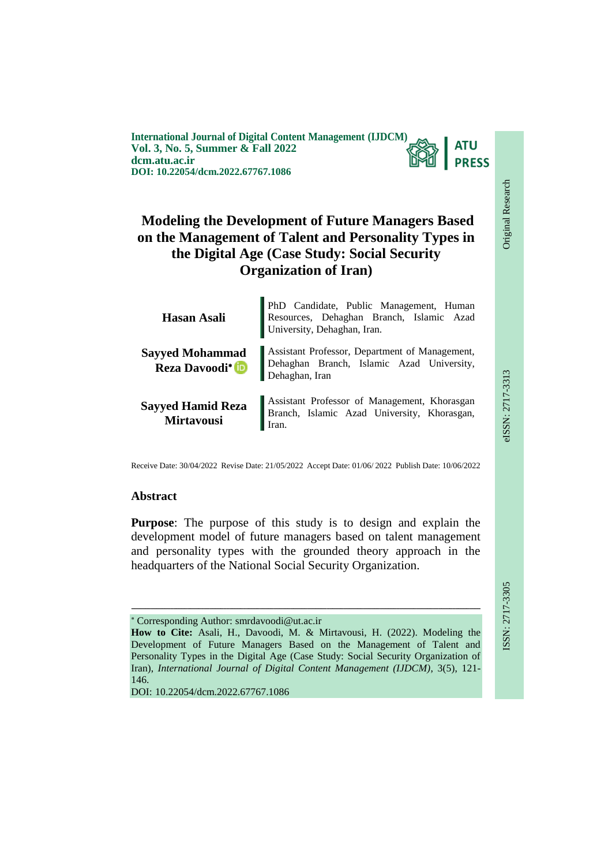**International Journal of Digital Content Management (IJDCM) ATU Vol. 3, No. 5, Summer & Fall 2022 PRESS dcm.atu.ac.ir DOI: 10.22054/dcm.2022.67767.1086**

# **Modeling the Development of Future Managers Based on the Management of Talent and Personality Types in the Digital Age (Case Study: Social Security Organization of Iran)**

| Hasan Asali                                                | PhD Candidate, Public Management, Human<br>Resources, Dehaghan Branch, Islamic Azad<br>University, Dehaghan, Iran. |
|------------------------------------------------------------|--------------------------------------------------------------------------------------------------------------------|
| <b>Sayyed Mohammad</b><br><b>Reza Davoodi</b> <sup>*</sup> | Assistant Professor, Department of Management,<br>Dehaghan Branch, Islamic Azad University,<br>Dehaghan, Iran      |
| <b>Sayyed Hamid Reza</b><br><b>Mirtavousi</b>              | Assistant Professor of Management, Khorasgan<br>Branch, Islamic Azad University, Khorasgan,<br>Iran.               |

Receive Date: 30/04/2022 Revise Date: 21/05/2022 Accept Date: 01/06/ 2022 Publish Date: 10/06/2022

#### **Abstract**

**Purpose**: The purpose of this study is to design and explain the development model of future managers based on talent management and personality types with the grounded theory approach in the headquarters of the National Social Security Organization.

Corresponding Author: smrdavoodi@ut.ac.ir

ـــــــــــــــــــــــــــــــــــــــــــــــــــــــــــــــــــــــــــــــــــــــــــــــــــــــــــــــــــــــــــــ

DOI: 10.22054/dcm.2022.67767.1086

Original Research

Original Research

eISSN: 2717-3313

**How to Cite:** Asali, H., Davoodi, M. & Mirtavousi, H. (2022). Modeling the Development of Future Managers Based on the Management of Talent and Personality Types in the Digital Age (Case Study: Social Security Organization of Iran), *International Journal of Digital Content Management (IJDCM)*, 3(5), 121- 146.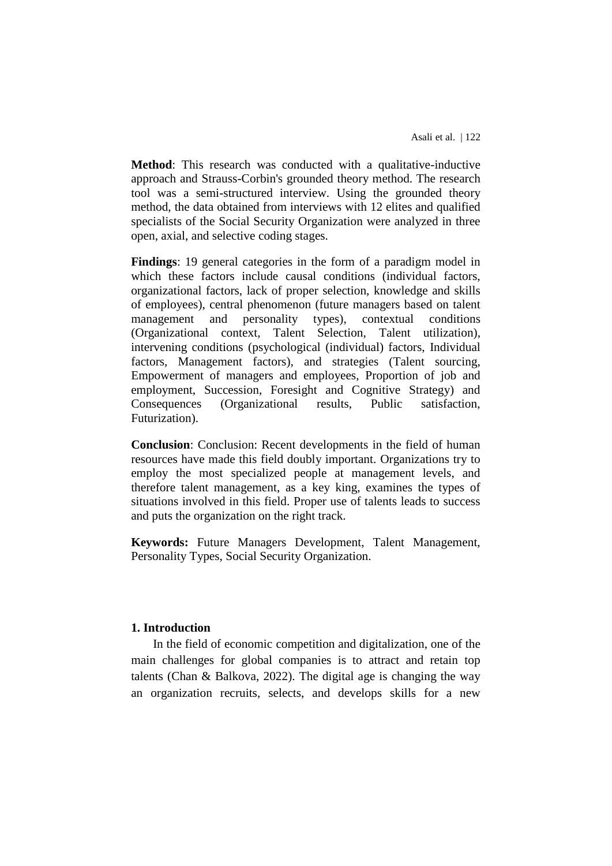**Method**: This research was conducted with a qualitative-inductive approach and Strauss-Corbin's grounded theory method. The research tool was a semi-structured interview. Using the grounded theory method, the data obtained from interviews with 12 elites and qualified specialists of the Social Security Organization were analyzed in three open, axial, and selective coding stages.

**Findings**: 19 general categories in the form of a paradigm model in which these factors include causal conditions (individual factors, organizational factors, lack of proper selection, knowledge and skills of employees), central phenomenon (future managers based on talent management and personality types), contextual conditions (Organizational context, Talent Selection, Talent utilization), intervening conditions (psychological (individual) factors, Individual factors, Management factors), and strategies (Talent sourcing, Empowerment of managers and employees, Proportion of job and employment, Succession, Foresight and Cognitive Strategy) and Consequences (Organizational results, Public satisfaction, Futurization).

**Conclusion**: Conclusion: Recent developments in the field of human resources have made this field doubly important. Organizations try to employ the most specialized people at management levels, and therefore talent management, as a key king, examines the types of situations involved in this field. Proper use of talents leads to success and puts the organization on the right track.

**Keywords:** Future Managers Development, Talent Management, Personality Types, Social Security Organization.

#### **1. Introduction**

In the field of economic competition and digitalization, one of the main challenges for global companies is to attract and retain top talents (Chan & Balkova, 2022). The digital age is changing the way an organization recruits, selects, and develops skills for a new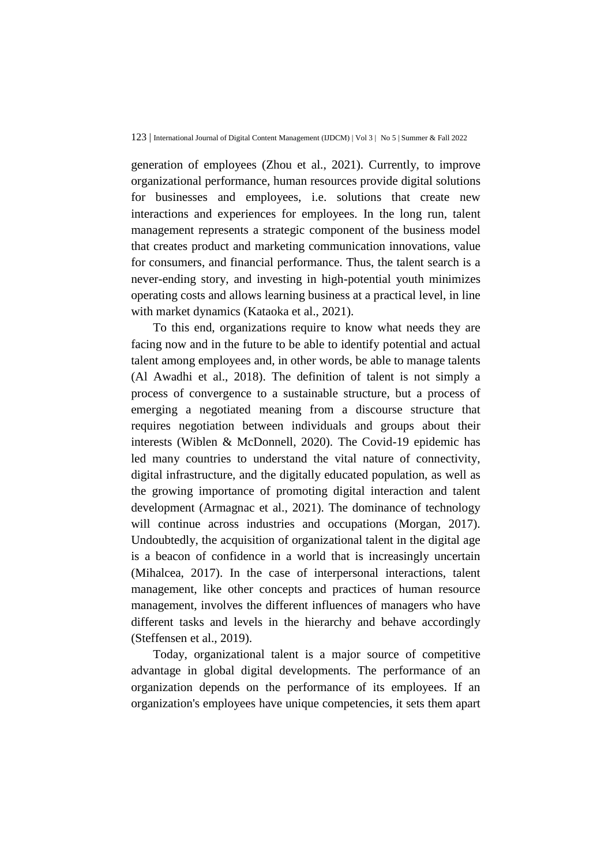generation of employees (Zhou et al., 2021). Currently, to improve organizational performance, human resources provide digital solutions for businesses and employees, i.e. solutions that create new interactions and experiences for employees. In the long run, talent management represents a strategic component of the business model that creates product and marketing communication innovations, value for consumers, and financial performance. Thus, the talent search is a never-ending story, and investing in high-potential youth minimizes operating costs and allows learning business at a practical level, in line with market dynamics (Kataoka et al., 2021).

To this end, organizations require to know what needs they are facing now and in the future to be able to identify potential and actual talent among employees and, in other words, be able to manage talents (Al Awadhi et al., 2018). The definition of talent is not simply a process of convergence to a sustainable structure, but a process of emerging a negotiated meaning from a discourse structure that requires negotiation between individuals and groups about their interests (Wiblen & McDonnell, 2020). The Covid-19 epidemic has led many countries to understand the vital nature of connectivity, digital infrastructure, and the digitally educated population, as well as the growing importance of promoting digital interaction and talent development (Armagnac et al., 2021). The dominance of technology will continue across industries and occupations (Morgan, 2017). Undoubtedly, the acquisition of organizational talent in the digital age is a beacon of confidence in a world that is increasingly uncertain (Mihalcea, 2017). In the case of interpersonal interactions, talent management, like other concepts and practices of human resource management, involves the different influences of managers who have different tasks and levels in the hierarchy and behave accordingly (Steffensen et al., 2019).

Today, organizational talent is a major source of competitive advantage in global digital developments. The performance of an organization depends on the performance of its employees. If an organization's employees have unique competencies, it sets them apart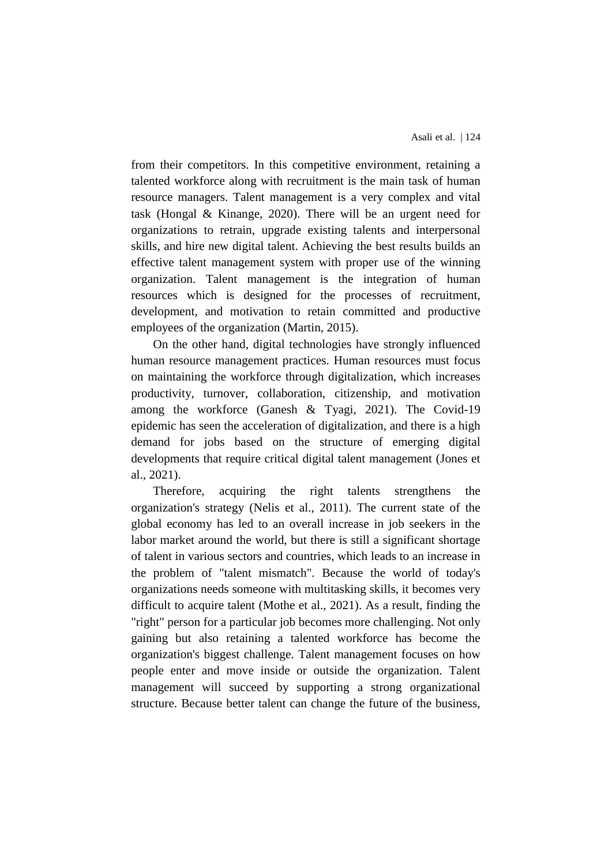from their competitors. In this competitive environment, retaining a talented workforce along with recruitment is the main task of human resource managers. Talent management is a very complex and vital task (Hongal & Kinange, 2020). There will be an urgent need for organizations to retrain, upgrade existing talents and interpersonal skills, and hire new digital talent. Achieving the best results builds an effective talent management system with proper use of the winning organization. Talent management is the integration of human resources which is designed for the processes of recruitment, development, and motivation to retain committed and productive employees of the organization (Martin, 2015).

On the other hand, digital technologies have strongly influenced human resource management practices. Human resources must focus on maintaining the workforce through digitalization, which increases productivity, turnover, collaboration, citizenship, and motivation among the workforce (Ganesh & Tyagi, 2021). The Covid-19 epidemic has seen the acceleration of digitalization, and there is a high demand for jobs based on the structure of emerging digital developments that require critical digital talent management (Jones et al., 2021).

Therefore, acquiring the right talents strengthens the organization's strategy (Nelis et al., 2011). The current state of the global economy has led to an overall increase in job seekers in the labor market around the world, but there is still a significant shortage of talent in various sectors and countries, which leads to an increase in the problem of "talent mismatch". Because the world of today's organizations needs someone with multitasking skills, it becomes very difficult to acquire talent (Mothe et al., 2021). As a result, finding the "right" person for a particular job becomes more challenging. Not only gaining but also retaining a talented workforce has become the organization's biggest challenge. Talent management focuses on how people enter and move inside or outside the organization. Talent management will succeed by supporting a strong organizational structure. Because better talent can change the future of the business,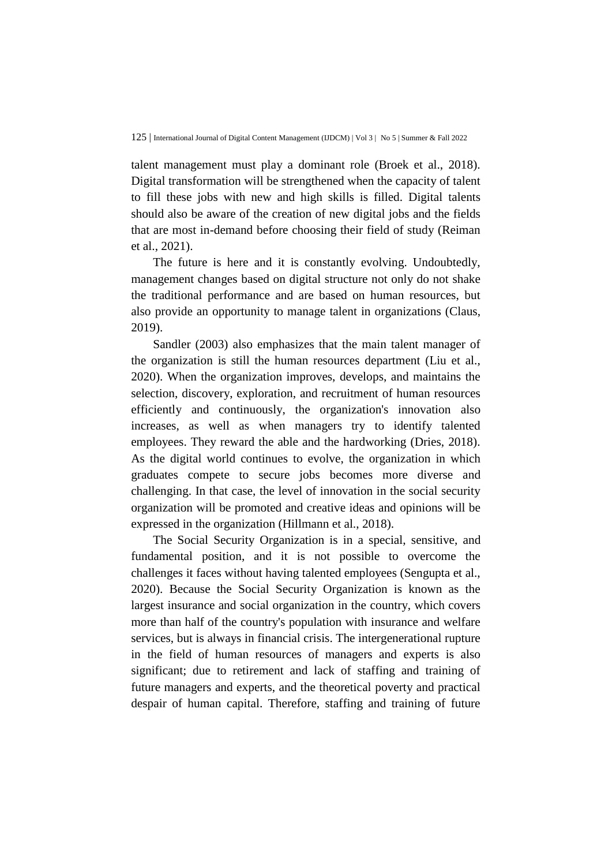talent management must play a dominant role (Broek et al., 2018). Digital transformation will be strengthened when the capacity of talent to fill these jobs with new and high skills is filled. Digital talents should also be aware of the creation of new digital jobs and the fields that are most in-demand before choosing their field of study (Reiman et al., 2021).

The future is here and it is constantly evolving. Undoubtedly, management changes based on digital structure not only do not shake the traditional performance and are based on human resources, but also provide an opportunity to manage talent in organizations (Claus, 2019).

Sandler (2003) also emphasizes that the main talent manager of the organization is still the human resources department (Liu et al., 2020). When the organization improves, develops, and maintains the selection, discovery, exploration, and recruitment of human resources efficiently and continuously, the organization's innovation also increases, as well as when managers try to identify talented employees. They reward the able and the hardworking (Dries, 2018). As the digital world continues to evolve, the organization in which graduates compete to secure jobs becomes more diverse and challenging. In that case, the level of innovation in the social security organization will be promoted and creative ideas and opinions will be expressed in the organization (Hillmann et al., 2018).

The Social Security Organization is in a special, sensitive, and fundamental position, and it is not possible to overcome the challenges it faces without having talented employees (Sengupta et al., 2020). Because the Social Security Organization is known as the largest insurance and social organization in the country, which covers more than half of the country's population with insurance and welfare services, but is always in financial crisis. The intergenerational rupture in the field of human resources of managers and experts is also significant; due to retirement and lack of staffing and training of future managers and experts, and the theoretical poverty and practical despair of human capital. Therefore, staffing and training of future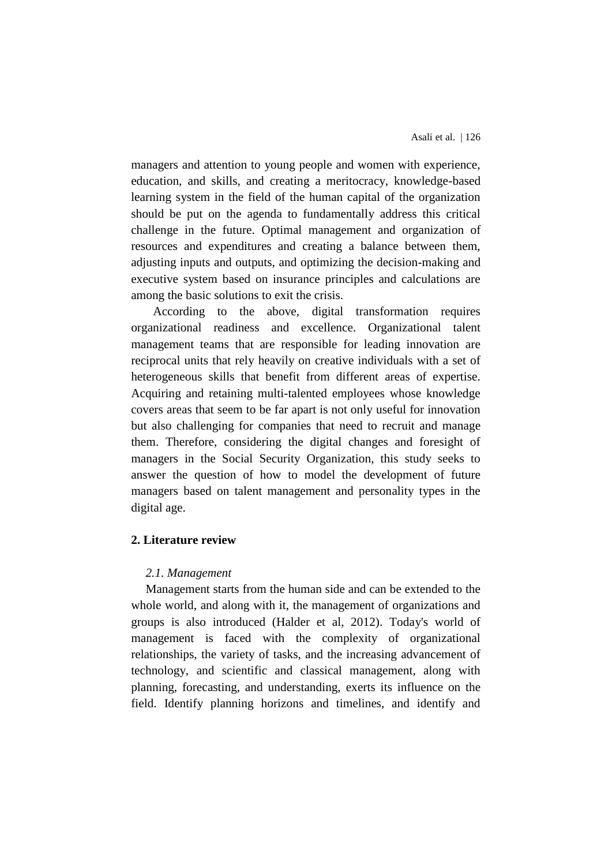managers and attention to young people and women with experience, education, and skills, and creating a meritocracy, knowledge-based learning system in the field of the human capital of the organization should be put on the agenda to fundamentally address this critical challenge in the future. Optimal management and organization of resources and expenditures and creating a balance between them, adjusting inputs and outputs, and optimizing the decision-making and executive system based on insurance principles and calculations are among the basic solutions to exit the crisis.

According to the above, digital transformation requires organizational readiness and excellence. Organizational talent management teams that are responsible for leading innovation are reciprocal units that rely heavily on creative individuals with a set of heterogeneous skills that benefit from different areas of expertise. Acquiring and retaining multi-talented employees whose knowledge covers areas that seem to be far apart is not only useful for innovation but also challenging for companies that need to recruit and manage them. Therefore, considering the digital changes and foresight of managers in the Social Security Organization, this study seeks to answer the question of how to model the development of future managers based on talent management and personality types in the digital age.

## **2. Literature review**

## *2.1. Management*

Management starts from the human side and can be extended to the whole world, and along with it, the management of organizations and groups is also introduced (Halder et al, 2012). Today's world of management is faced with the complexity of organizational relationships, the variety of tasks, and the increasing advancement of technology, and scientific and classical management, along with planning, forecasting, and understanding, exerts its influence on the field. Identify planning horizons and timelines, and identify and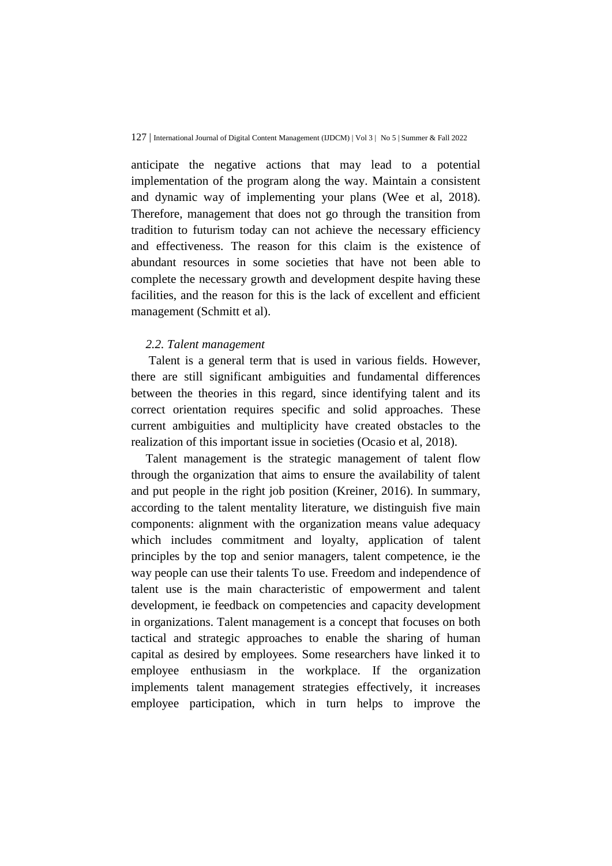anticipate the negative actions that may lead to a potential implementation of the program along the way. Maintain a consistent and dynamic way of implementing your plans (Wee et al, 2018). Therefore, management that does not go through the transition from tradition to futurism today can not achieve the necessary efficiency and effectiveness. The reason for this claim is the existence of abundant resources in some societies that have not been able to complete the necessary growth and development despite having these facilities, and the reason for this is the lack of excellent and efficient management (Schmitt et al).

#### *2.2. Talent management*

Talent is a general term that is used in various fields. However, there are still significant ambiguities and fundamental differences between the theories in this regard, since identifying talent and its correct orientation requires specific and solid approaches. These current ambiguities and multiplicity have created obstacles to the realization of this important issue in societies (Ocasio et al, 2018).

Talent management is the strategic management of talent flow through the organization that aims to ensure the availability of talent and put people in the right job position (Kreiner, 2016). In summary, according to the talent mentality literature, we distinguish five main components: alignment with the organization means value adequacy which includes commitment and loyalty, application of talent principles by the top and senior managers, talent competence, ie the way people can use their talents To use. Freedom and independence of talent use is the main characteristic of empowerment and talent development, ie feedback on competencies and capacity development in organizations. Talent management is a concept that focuses on both tactical and strategic approaches to enable the sharing of human capital as desired by employees. Some researchers have linked it to employee enthusiasm in the workplace. If the organization implements talent management strategies effectively, it increases employee participation, which in turn helps to improve the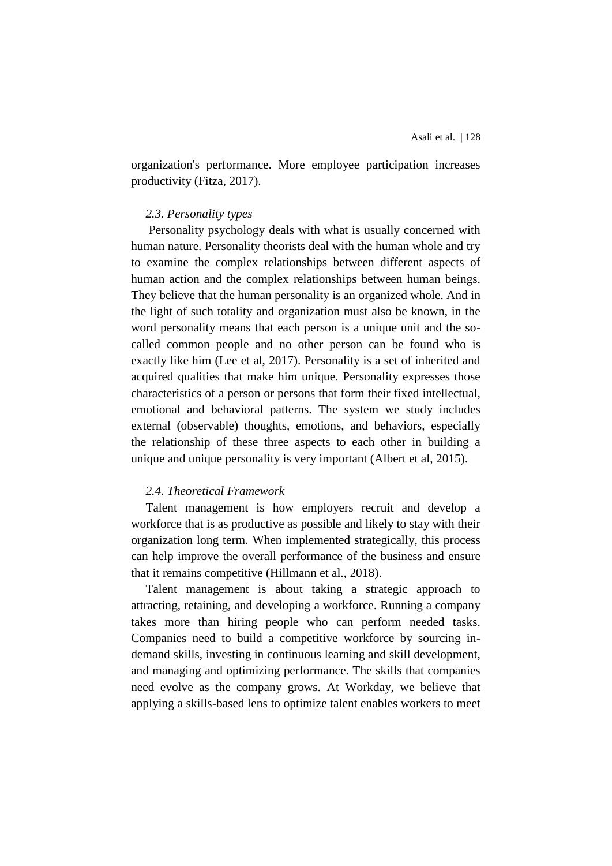organization's performance. More employee participation increases productivity (Fitza, 2017).

#### *2.3. Personality types*

Personality psychology deals with what is usually concerned with human nature. Personality theorists deal with the human whole and try to examine the complex relationships between different aspects of human action and the complex relationships between human beings. They believe that the human personality is an organized whole. And in the light of such totality and organization must also be known, in the word personality means that each person is a unique unit and the socalled common people and no other person can be found who is exactly like him (Lee et al, 2017). Personality is a set of inherited and acquired qualities that make him unique. Personality expresses those characteristics of a person or persons that form their fixed intellectual, emotional and behavioral patterns. The system we study includes external (observable) thoughts, emotions, and behaviors, especially the relationship of these three aspects to each other in building a unique and unique personality is very important (Albert et al, 2015).

## *2.4. Theoretical Framework*

Talent management is how employers recruit and develop a workforce that is as productive as possible and likely to stay with their organization long term. When implemented strategically, this process can help improve the overall performance of the business and ensure that it remains competitive (Hillmann et al., 2018).

Talent management is about taking a strategic approach to attracting, retaining, and developing a workforce. Running a company takes more than hiring people who can perform needed tasks. Companies need to build a competitive workforce by sourcing indemand skills, investing in continuous learning and skill development, and managing and optimizing performance. The skills that companies need evolve as the company grows. At Workday, we believe that applying a skills-based lens to optimize talent enables workers to meet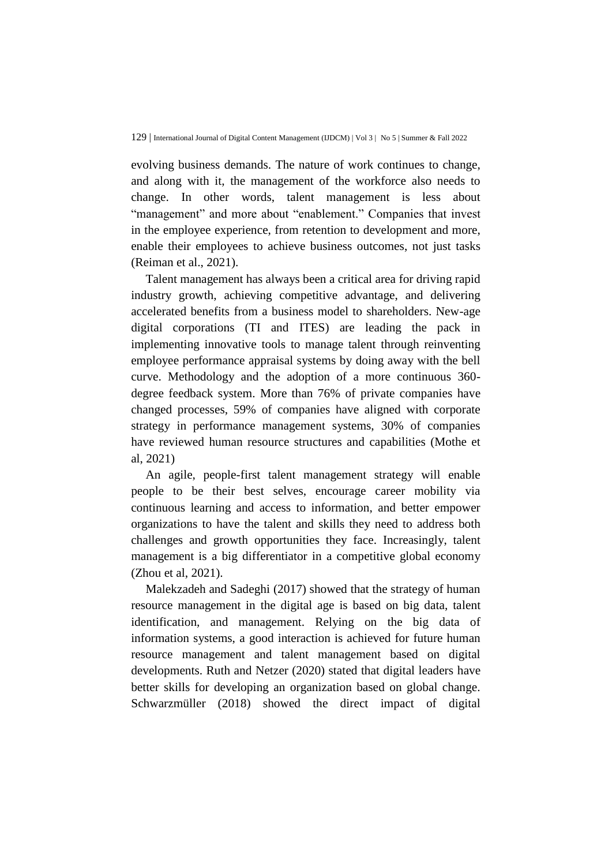evolving business demands. The nature of work continues to change, and along with it, the management of the workforce also needs to change. In other words, talent management is less about "management" and more about "enablement." Companies that invest in the employee experience, from retention to development and more, enable their employees to achieve business outcomes, not just tasks (Reiman et al., 2021).

Talent management has always been a critical area for driving rapid industry growth, achieving competitive advantage, and delivering accelerated benefits from a business model to shareholders. New-age digital corporations (TI and ITES) are leading the pack in implementing innovative tools to manage talent through reinventing employee performance appraisal systems by doing away with the bell curve. Methodology and the adoption of a more continuous 360 degree feedback system. More than 76% of private companies have changed processes, 59% of companies have aligned with corporate strategy in performance management systems, 30% of companies have reviewed human resource structures and capabilities (Mothe et al, 2021)

An agile, people-first talent management strategy will enable people to be their best selves, encourage career mobility via continuous learning and access to information, and better empower organizations to have the talent and skills they need to address both challenges and growth opportunities they face. Increasingly, talent management is a big differentiator in a competitive global economy (Zhou et al, 2021).

Malekzadeh and Sadeghi (2017) showed that the strategy of human resource management in the digital age is based on big data, talent identification, and management. Relying on the big data of information systems, a good interaction is achieved for future human resource management and talent management based on digital developments. Ruth and Netzer (2020) stated that digital leaders have better skills for developing an organization based on global change. Schwarzmüller (2018) showed the direct impact of digital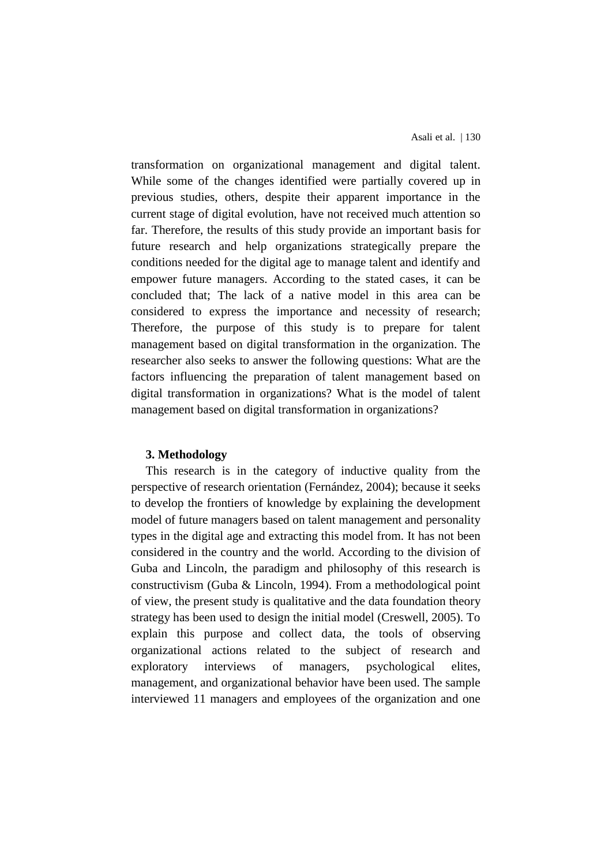transformation on organizational management and digital talent. While some of the changes identified were partially covered up in previous studies, others, despite their apparent importance in the current stage of digital evolution, have not received much attention so far. Therefore, the results of this study provide an important basis for future research and help organizations strategically prepare the conditions needed for the digital age to manage talent and identify and empower future managers. According to the stated cases, it can be concluded that; The lack of a native model in this area can be considered to express the importance and necessity of research; Therefore, the purpose of this study is to prepare for talent management based on digital transformation in the organization. The researcher also seeks to answer the following questions: What are the factors influencing the preparation of talent management based on digital transformation in organizations? What is the model of talent management based on digital transformation in organizations?

#### **3. Methodology**

This research is in the category of inductive quality from the perspective of research orientation (Fernández, 2004); because it seeks to develop the frontiers of knowledge by explaining the development model of future managers based on talent management and personality types in the digital age and extracting this model from. It has not been considered in the country and the world. According to the division of Guba and Lincoln, the paradigm and philosophy of this research is constructivism (Guba & Lincoln, 1994). From a methodological point of view, the present study is qualitative and the data foundation theory strategy has been used to design the initial model (Creswell, 2005). To explain this purpose and collect data, the tools of observing organizational actions related to the subject of research and exploratory interviews of managers, psychological elites, management, and organizational behavior have been used. The sample interviewed 11 managers and employees of the organization and one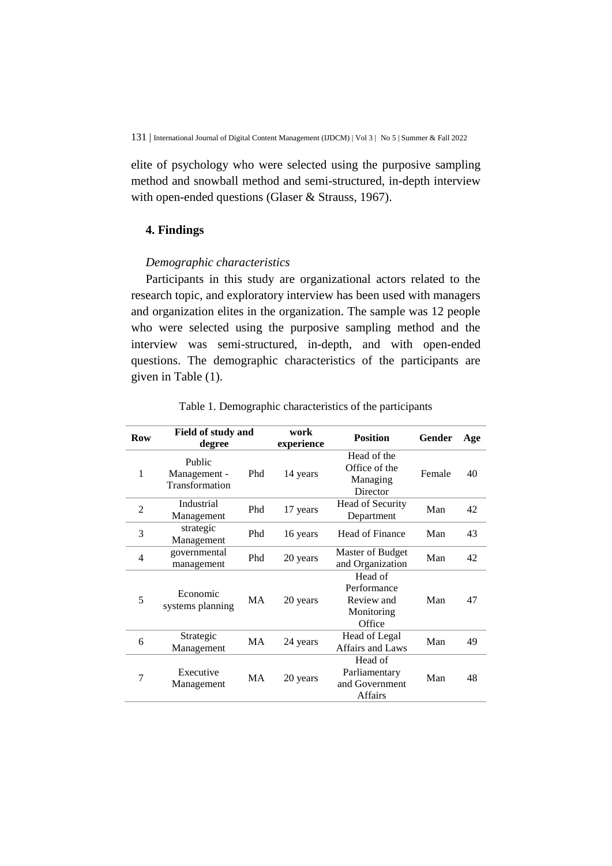elite of psychology who were selected using the purposive sampling method and snowball method and semi-structured, in-depth interview with open-ended questions (Glaser & Strauss, 1967).

## **4. Findings**

#### *Demographic characteristics*

Participants in this study are organizational actors related to the research topic, and exploratory interview has been used with managers and organization elites in the organization. The sample was 12 people who were selected using the purposive sampling method and the interview was semi-structured, in-depth, and with open-ended questions. The demographic characteristics of the participants are given in Table (1).

| <b>Row</b>     | degree                                   | Field of study and<br>work<br>experience |          | <b>Position</b>                                              | Gender | Age |
|----------------|------------------------------------------|------------------------------------------|----------|--------------------------------------------------------------|--------|-----|
| 1              | Public<br>Management -<br>Transformation | Phd                                      | 14 years | Head of the<br>Office of the<br>Managing<br>Director         | Female | 40  |
| 2              | Industrial<br>Management                 | Phd                                      | 17 years | Head of Security<br>Department                               | Man    | 42  |
| 3              | strategic<br>Management                  | Phd                                      | 16 years | Head of Finance                                              | Man    | 43  |
| $\overline{4}$ | governmental<br>management               | Phd                                      | 20 years | Master of Budget<br>and Organization                         | Man    | 42  |
| 5              | Economic<br>systems planning             | MA                                       | 20 years | Head of<br>Performance<br>Review and<br>Monitoring<br>Office | Man    | 47  |
| 6              | Strategic<br>Management                  | MA                                       | 24 years | Head of Legal<br>Affairs and Laws                            | Man    | 49  |
| 7              | Executive<br>Management                  | MA                                       | 20 years | Head of<br>Parliamentary<br>and Government<br><b>Affairs</b> | Man    | 48  |

Table 1. Demographic characteristics of the participants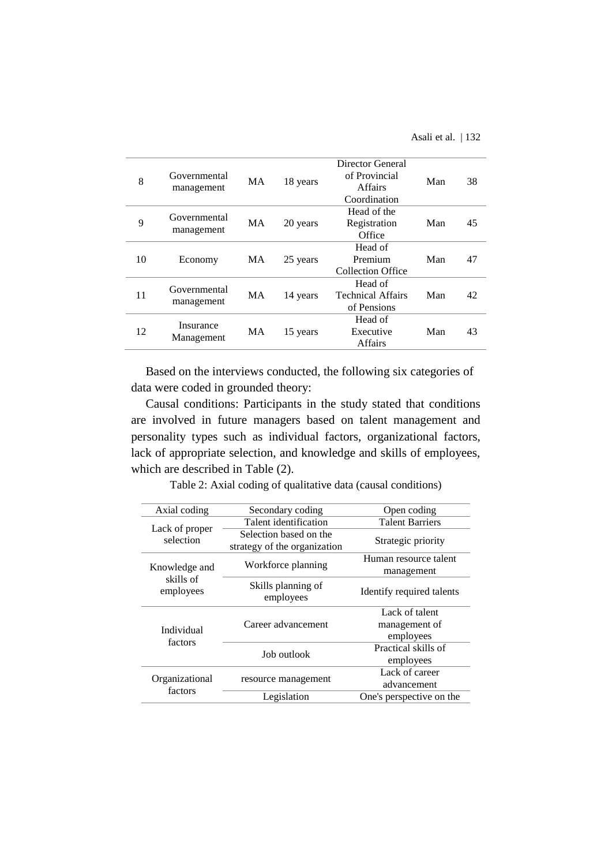| 8  | Governmental<br>management | MA | 18 years | Director General<br>of Provincial<br><b>Affairs</b><br>Coordination | Man | 38 |
|----|----------------------------|----|----------|---------------------------------------------------------------------|-----|----|
| 9  | Governmental<br>management | MA | 20 years | Head of the<br>Registration<br>Office                               | Man | 45 |
| 10 | Economy                    | MA | 25 years | Head of<br>Premium<br><b>Collection Office</b>                      | Man | 47 |
| 11 | Governmental<br>management | MA | 14 years | Head of<br><b>Technical Affairs</b><br>of Pensions                  | Man | 42 |
| 12 | Insurance<br>Management    | MA | 15 years | Head of<br>Executive<br><b>Affairs</b>                              | Man | 43 |

Based on the interviews conducted, the following six categories of data were coded in grounded theory:

Causal conditions: Participants in the study stated that conditions are involved in future managers based on talent management and personality types such as individual factors, organizational factors, lack of appropriate selection, and knowledge and skills of employees, which are described in Table (2).

| Table 2: Axial coding of qualitative data (causal conditions) |  |  |  |  |
|---------------------------------------------------------------|--|--|--|--|
|---------------------------------------------------------------|--|--|--|--|

| Secondary coding                                       | Open coding                                              |
|--------------------------------------------------------|----------------------------------------------------------|
| Talent identification                                  | <b>Talent Barriers</b>                                   |
| Selection based on the<br>strategy of the organization | Strategic priority                                       |
|                                                        | Human resource talent                                    |
|                                                        | management                                               |
| Skills planning of<br>employees                        | Identify required talents                                |
|                                                        | Lack of talent                                           |
| Career advancement                                     | management of                                            |
|                                                        | employees                                                |
|                                                        | Practical skills of                                      |
|                                                        | employees                                                |
|                                                        | Lack of career                                           |
|                                                        | advancement                                              |
| Legislation                                            | One's perspective on the                                 |
|                                                        | Workforce planning<br>Job outlook<br>resource management |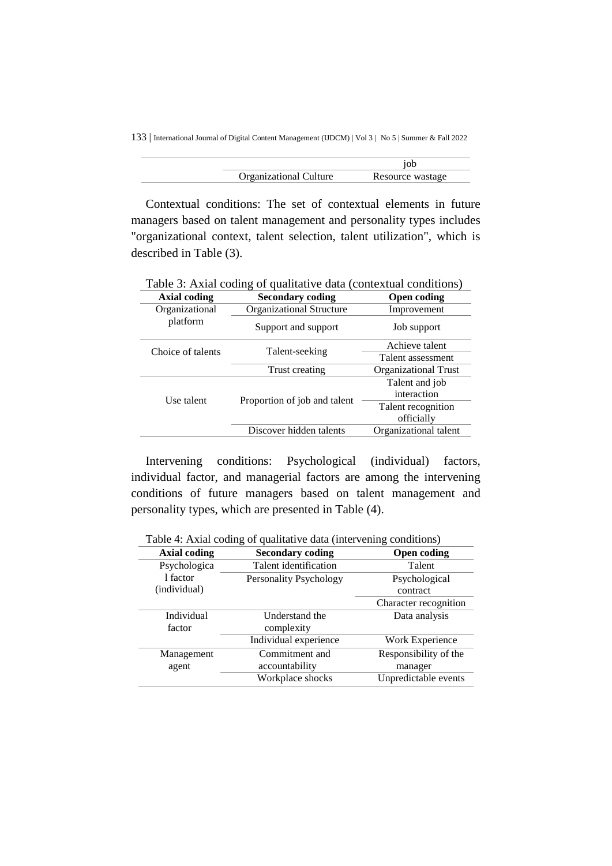133 | International Journal of Digital Content Management (IJDCM) | Vol 3 | No 5 | Summer & Fall 2022

| <b>Organizational Culture</b> | Resource wastage |
|-------------------------------|------------------|
|                               |                  |

Contextual conditions: The set of contextual elements in future managers based on talent management and personality types includes "organizational context, talent selection, talent utilization", which is described in Table (3).

| Table 3: Axial coding of qualitative data (contextual conditions) |                              |                             |  |  |  |
|-------------------------------------------------------------------|------------------------------|-----------------------------|--|--|--|
| Axial coding                                                      | <b>Secondary coding</b>      | Open coding                 |  |  |  |
| Organizational                                                    | Organizational Structure     | Improvement                 |  |  |  |
| platform                                                          | Support and support          | Job support                 |  |  |  |
| Choice of talents                                                 | Talent-seeking               | Achieve talent              |  |  |  |
|                                                                   |                              | Talent assessment           |  |  |  |
|                                                                   | Trust creating               | <b>Organizational Trust</b> |  |  |  |
|                                                                   |                              | Talent and job              |  |  |  |
| Use talent                                                        | Proportion of job and talent | interaction                 |  |  |  |
|                                                                   |                              | Talent recognition          |  |  |  |
|                                                                   |                              | officially                  |  |  |  |
|                                                                   | Discover hidden talents      | Organizational talent       |  |  |  |

Table 3: Axial coding of qualitative data (contextual conditions)

Intervening conditions: Psychological (individual) factors, individual factor, and managerial factors are among the intervening conditions of future managers based on talent management and personality types, which are presented in Table (4).

Table 4: Axial coding of qualitative data (intervening conditions)

| <b>Axial coding</b> | ັ<br><b>Secondary coding</b> | <b>Open coding</b>    |
|---------------------|------------------------------|-----------------------|
| Psychologica        | Talent identification        | Talent                |
| 1 factor            | Personality Psychology       | Psychological         |
| (individual)        |                              | contract              |
|                     |                              | Character recognition |
| Individual          | Understand the               | Data analysis         |
| factor              | complexity                   |                       |
|                     | Individual experience        | Work Experience       |
| Management          | Commitment and               | Responsibility of the |
| agent               | accountability               | manager               |
|                     | Workplace shocks             | Unpredictable events  |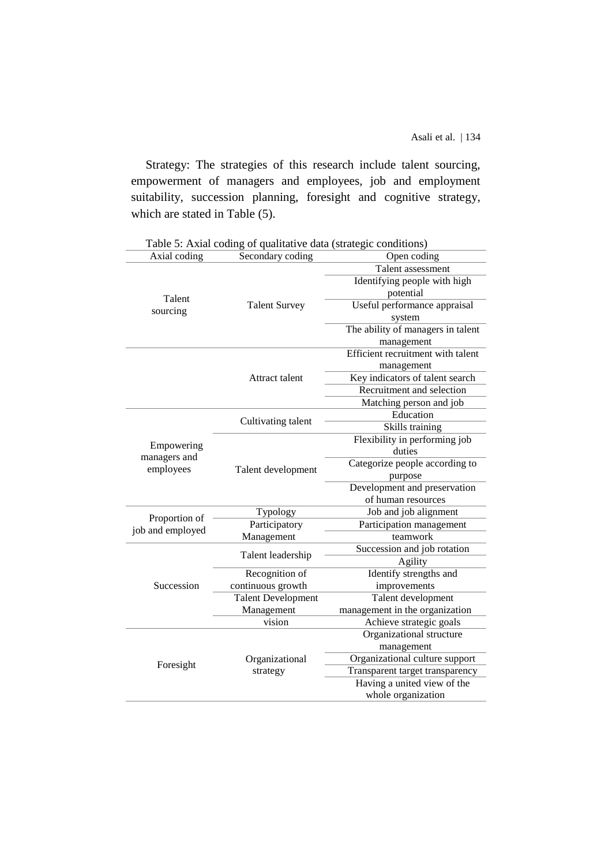Strategy: The strategies of this research include talent sourcing, empowerment of managers and employees, job and employment suitability, succession planning, foresight and cognitive strategy, which are stated in Table (5).

| Axial coding     | radio 3. Tixtui counte or quantum o una (strategie conditions)<br>Secondary coding | Open coding                       |
|------------------|------------------------------------------------------------------------------------|-----------------------------------|
|                  |                                                                                    | Talent assessment                 |
|                  |                                                                                    | Identifying people with high      |
|                  |                                                                                    | potential                         |
| Talent           | <b>Talent Survey</b>                                                               | Useful performance appraisal      |
| sourcing         |                                                                                    | system                            |
|                  |                                                                                    | The ability of managers in talent |
|                  |                                                                                    | management                        |
|                  |                                                                                    | Efficient recruitment with talent |
|                  |                                                                                    | management                        |
|                  | Attract talent                                                                     | Key indicators of talent search   |
|                  |                                                                                    | Recruitment and selection         |
|                  |                                                                                    | Matching person and job           |
|                  | Cultivating talent                                                                 | Education                         |
|                  |                                                                                    | Skills training                   |
| Empowering       |                                                                                    | Flexibility in performing job     |
| managers and     |                                                                                    | duties                            |
| employees        | Talent development                                                                 | Categorize people according to    |
|                  |                                                                                    | purpose                           |
|                  |                                                                                    | Development and preservation      |
|                  |                                                                                    | of human resources                |
| Proportion of    | Typology                                                                           | Job and job alignment             |
| job and employed | Participatory                                                                      | Participation management          |
|                  | Management                                                                         | teamwork                          |
|                  | Talent leadership                                                                  | Succession and job rotation       |
|                  |                                                                                    | Agility                           |
|                  | Recognition of                                                                     | Identify strengths and            |
| Succession       | continuous growth                                                                  | improvements                      |
|                  | <b>Talent Development</b>                                                          | Talent development                |
|                  | Management                                                                         | management in the organization    |
|                  | vision                                                                             | Achieve strategic goals           |
|                  |                                                                                    | Organizational structure          |
|                  |                                                                                    | management                        |
| Foresight        | Organizational                                                                     | Organizational culture support    |
|                  | strategy                                                                           | Transparent target transparency   |
|                  |                                                                                    | Having a united view of the       |
|                  |                                                                                    | whole organization                |

|  |  |  | Table 5: Axial coding of qualitative data (strategic conditions) |  |  |
|--|--|--|------------------------------------------------------------------|--|--|
|  |  |  |                                                                  |  |  |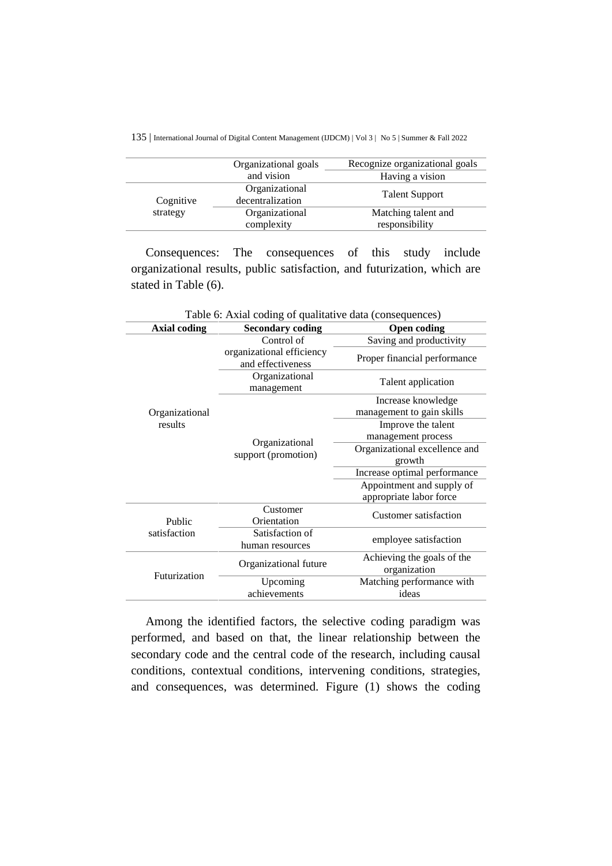135 | International Journal of Digital Content Management (IJDCM) | Vol 3 | No 5 | Summer & Fall 2022

|           | Organizational goals | Recognize organizational goals |
|-----------|----------------------|--------------------------------|
|           | and vision           | Having a vision                |
|           | Organizational       |                                |
| Cognitive | decentralization     | <b>Talent Support</b>          |
| strategy  | Organizational       | Matching talent and            |
|           | complexity           | responsibility                 |

Consequences: The consequences of this study include organizational results, public satisfaction, and futurization, which are stated in Table (6).

| Table 6: Axial coding of qualitative data (consequences) |                                                |                                            |  |  |
|----------------------------------------------------------|------------------------------------------------|--------------------------------------------|--|--|
| <b>Axial coding</b>                                      | <b>Secondary coding</b>                        | <b>Open coding</b>                         |  |  |
|                                                          | Control of                                     | Saving and productivity                    |  |  |
|                                                          | organizational efficiency<br>and effectiveness | Proper financial performance               |  |  |
|                                                          | Organizational<br>management                   | Talent application                         |  |  |
|                                                          |                                                | Increase knowledge                         |  |  |
| Organizational                                           |                                                | management to gain skills                  |  |  |
| results                                                  |                                                | Improve the talent                         |  |  |
|                                                          |                                                | management process                         |  |  |
|                                                          | Organizational<br>support (promotion)          | Organizational excellence and              |  |  |
|                                                          |                                                | growth                                     |  |  |
|                                                          |                                                | Increase optimal performance               |  |  |
|                                                          |                                                | Appointment and supply of                  |  |  |
|                                                          |                                                | appropriate labor force                    |  |  |
| Public                                                   | Customer<br>Orientation                        | <b>Customer satisfaction</b>               |  |  |
| satisfaction                                             | Satisfaction of                                |                                            |  |  |
|                                                          | human resources                                | employee satisfaction                      |  |  |
| Futurization                                             | Organizational future                          | Achieving the goals of the<br>organization |  |  |
|                                                          | Upcoming                                       | Matching performance with                  |  |  |
|                                                          | achievements                                   | ideas                                      |  |  |

Among the identified factors, the selective coding paradigm was performed, and based on that, the linear relationship between the secondary code and the central code of the research, including causal conditions, contextual conditions, intervening conditions, strategies, and consequences, was determined. Figure (1) shows the coding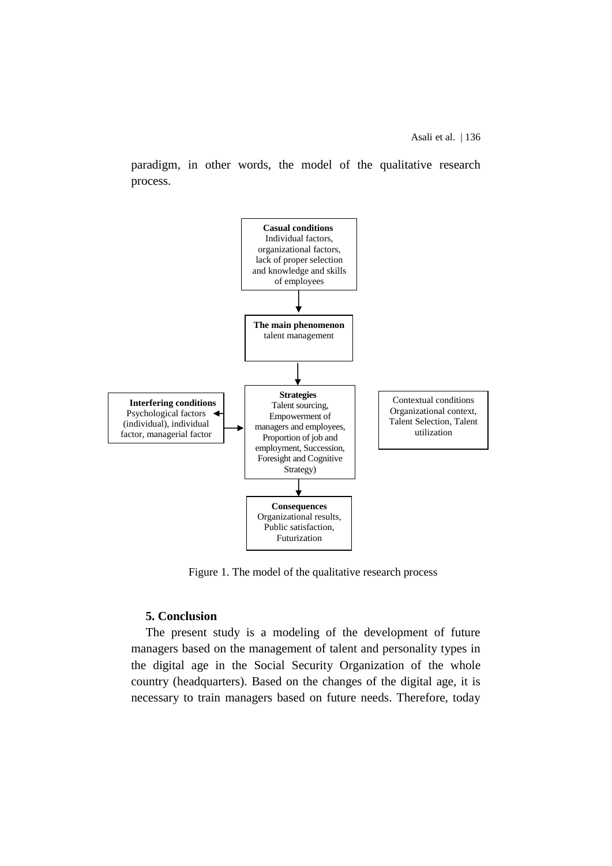paradigm, in other words, the model of the qualitative research process.



Figure 1. The model of the qualitative research process

## **5. Conclusion**

The present study is a modeling of the development of future managers based on the management of talent and personality types in the digital age in the Social Security Organization of the whole country (headquarters). Based on the changes of the digital age, it is necessary to train managers based on future needs. Therefore, today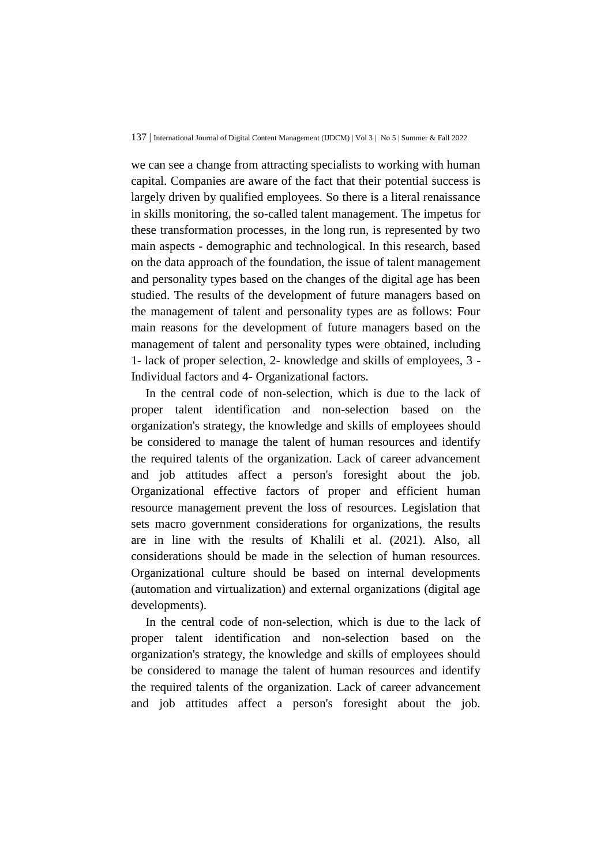we can see a change from attracting specialists to working with human capital. Companies are aware of the fact that their potential success is largely driven by qualified employees. So there is a literal renaissance in skills monitoring, the so-called talent management. The impetus for these transformation processes, in the long run, is represented by two main aspects - demographic and technological. In this research, based on the data approach of the foundation, the issue of talent management and personality types based on the changes of the digital age has been studied. The results of the development of future managers based on the management of talent and personality types are as follows: Four main reasons for the development of future managers based on the management of talent and personality types were obtained, including 1- lack of proper selection, 2- knowledge and skills of employees, 3 - Individual factors and 4- Organizational factors.

In the central code of non-selection, which is due to the lack of proper talent identification and non-selection based on the organization's strategy, the knowledge and skills of employees should be considered to manage the talent of human resources and identify the required talents of the organization. Lack of career advancement and job attitudes affect a person's foresight about the job. Organizational effective factors of proper and efficient human resource management prevent the loss of resources. Legislation that sets macro government considerations for organizations, the results are in line with the results of Khalili et al. (2021). Also, all considerations should be made in the selection of human resources. Organizational culture should be based on internal developments (automation and virtualization) and external organizations (digital age developments).

In the central code of non-selection, which is due to the lack of proper talent identification and non-selection based on the organization's strategy, the knowledge and skills of employees should be considered to manage the talent of human resources and identify the required talents of the organization. Lack of career advancement and job attitudes affect a person's foresight about the job.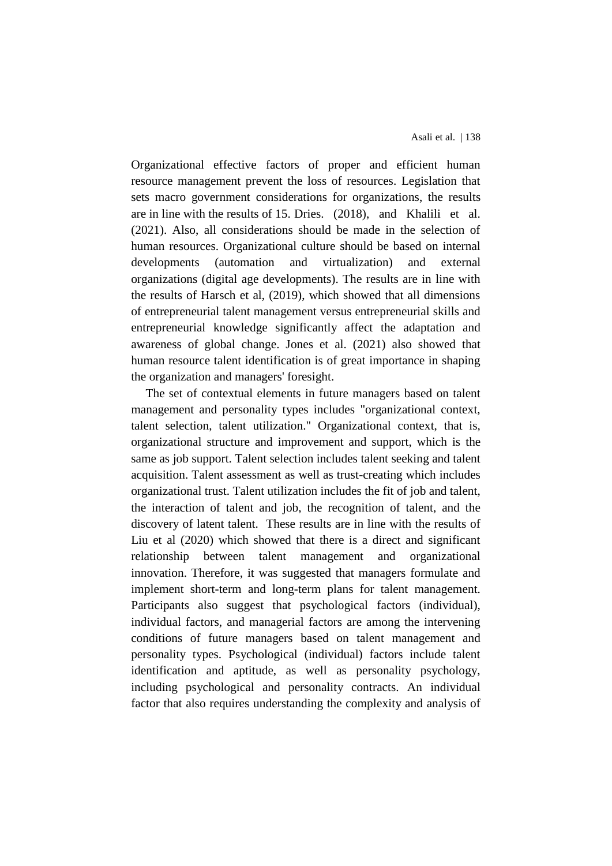Organizational effective factors of proper and efficient human resource management prevent the loss of resources. Legislation that sets macro government considerations for organizations, the results are in line with the results of 15. Dries. (2018), and Khalili et al. (2021). Also, all considerations should be made in the selection of human resources. Organizational culture should be based on internal developments (automation and virtualization) and external organizations (digital age developments). The results are in line with the results of Harsch et al, (2019), which showed that all dimensions of entrepreneurial talent management versus entrepreneurial skills and entrepreneurial knowledge significantly affect the adaptation and awareness of global change. Jones et al. (2021) also showed that human resource talent identification is of great importance in shaping the organization and managers' foresight.

The set of contextual elements in future managers based on talent management and personality types includes "organizational context, talent selection, talent utilization." Organizational context, that is, organizational structure and improvement and support, which is the same as job support. Talent selection includes talent seeking and talent acquisition. Talent assessment as well as trust-creating which includes organizational trust. Talent utilization includes the fit of job and talent, the interaction of talent and job, the recognition of talent, and the discovery of latent talent. These results are in line with the results of Liu et al (2020) which showed that there is a direct and significant relationship between talent management and organizational innovation. Therefore, it was suggested that managers formulate and implement short-term and long-term plans for talent management. Participants also suggest that psychological factors (individual), individual factors, and managerial factors are among the intervening conditions of future managers based on talent management and personality types. Psychological (individual) factors include talent identification and aptitude, as well as personality psychology, including psychological and personality contracts. An individual factor that also requires understanding the complexity and analysis of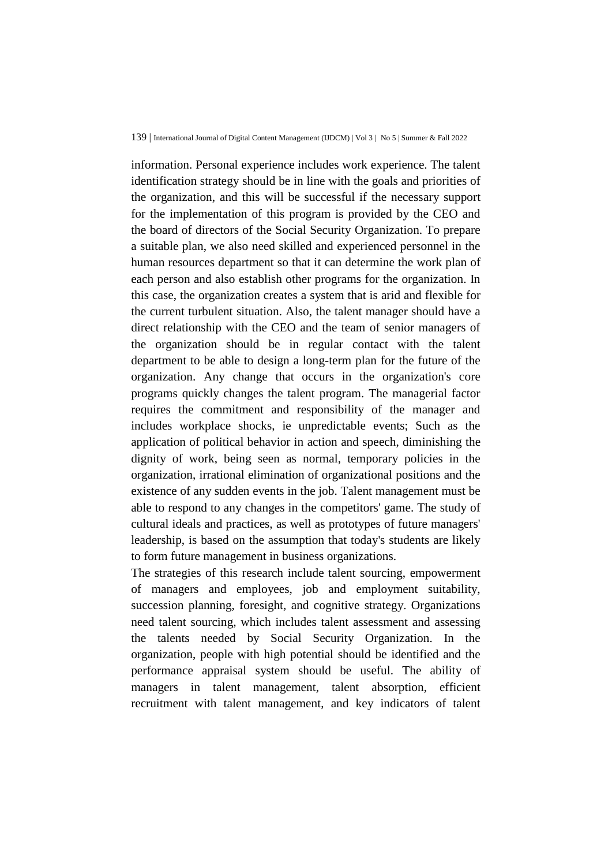#### 139 | International Journal of Digital Content Management (IJDCM) | Vol 3 | No 5 | Summer & Fall 2022

information. Personal experience includes work experience. The talent identification strategy should be in line with the goals and priorities of the organization, and this will be successful if the necessary support for the implementation of this program is provided by the CEO and the board of directors of the Social Security Organization. To prepare a suitable plan, we also need skilled and experienced personnel in the human resources department so that it can determine the work plan of each person and also establish other programs for the organization. In this case, the organization creates a system that is arid and flexible for the current turbulent situation. Also, the talent manager should have a direct relationship with the CEO and the team of senior managers of the organization should be in regular contact with the talent department to be able to design a long-term plan for the future of the organization. Any change that occurs in the organization's core programs quickly changes the talent program. The managerial factor requires the commitment and responsibility of the manager and includes workplace shocks, ie unpredictable events; Such as the application of political behavior in action and speech, diminishing the dignity of work, being seen as normal, temporary policies in the organization, irrational elimination of organizational positions and the existence of any sudden events in the job. Talent management must be able to respond to any changes in the competitors' game. The study of cultural ideals and practices, as well as prototypes of future managers' leadership, is based on the assumption that today's students are likely to form future management in business organizations.

The strategies of this research include talent sourcing, empowerment of managers and employees, job and employment suitability, succession planning, foresight, and cognitive strategy. Organizations need talent sourcing, which includes talent assessment and assessing the talents needed by Social Security Organization. In the organization, people with high potential should be identified and the performance appraisal system should be useful. The ability of managers in talent management, talent absorption, efficient recruitment with talent management, and key indicators of talent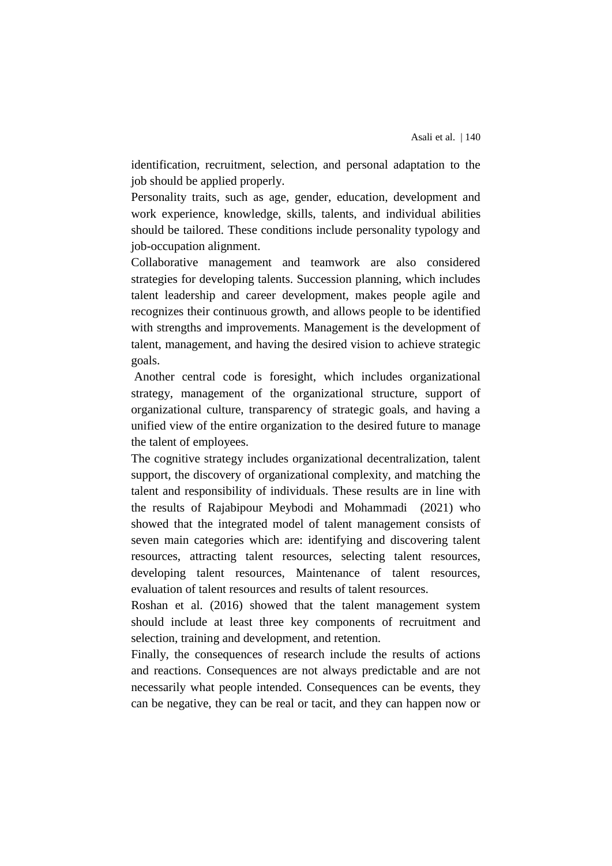identification, recruitment, selection, and personal adaptation to the job should be applied properly.

Personality traits, such as age, gender, education, development and work experience, knowledge, skills, talents, and individual abilities should be tailored. These conditions include personality typology and job-occupation alignment.

Collaborative management and teamwork are also considered strategies for developing talents. Succession planning, which includes talent leadership and career development, makes people agile and recognizes their continuous growth, and allows people to be identified with strengths and improvements. Management is the development of talent, management, and having the desired vision to achieve strategic goals.

Another central code is foresight, which includes organizational strategy, management of the organizational structure, support of organizational culture, transparency of strategic goals, and having a unified view of the entire organization to the desired future to manage the talent of employees.

The cognitive strategy includes organizational decentralization, talent support, the discovery of organizational complexity, and matching the talent and responsibility of individuals. These results are in line with the results of Rajabipour Meybodi and Mohammadi (2021) who showed that the integrated model of talent management consists of seven main categories which are: identifying and discovering talent resources, attracting talent resources, selecting talent resources, developing talent resources, Maintenance of talent resources, evaluation of talent resources and results of talent resources.

Roshan et al. (2016) showed that the talent management system should include at least three key components of recruitment and selection, training and development, and retention.

Finally, the consequences of research include the results of actions and reactions. Consequences are not always predictable and are not necessarily what people intended. Consequences can be events, they can be negative, they can be real or tacit, and they can happen now or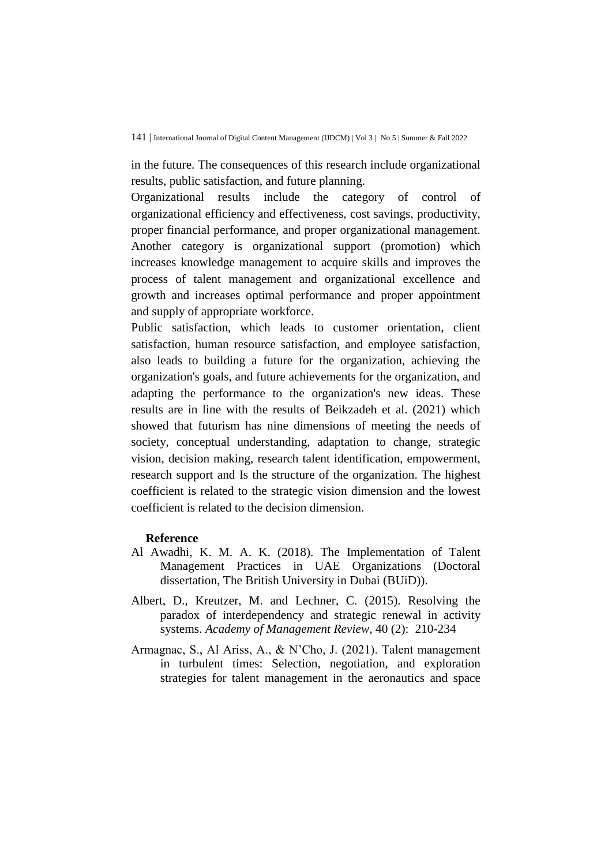in the future. The consequences of this research include organizational results, public satisfaction, and future planning.

Organizational results include the category of control of organizational efficiency and effectiveness, cost savings, productivity, proper financial performance, and proper organizational management. Another category is organizational support (promotion) which increases knowledge management to acquire skills and improves the process of talent management and organizational excellence and growth and increases optimal performance and proper appointment and supply of appropriate workforce.

Public satisfaction, which leads to customer orientation, client satisfaction, human resource satisfaction, and employee satisfaction, also leads to building a future for the organization, achieving the organization's goals, and future achievements for the organization, and adapting the performance to the organization's new ideas. These results are in line with the results of Beikzadeh et al. (2021) which showed that futurism has nine dimensions of meeting the needs of society, conceptual understanding, adaptation to change, strategic vision, decision making, research talent identification, empowerment, research support and Is the structure of the organization. The highest coefficient is related to the strategic vision dimension and the lowest coefficient is related to the decision dimension.

## **Reference**

- Al Awadhi, K. M. A. K. (2018). The Implementation of Talent Management Practices in UAE Organizations (Doctoral dissertation, The British University in Dubai (BUiD)).
- Albert, D., Kreutzer, M. and Lechner, C. (2015). Resolving the paradox of interdependency and strategic renewal in activity systems. *Academy of Management Review*, 40 (2): 210-234
- Armagnac, S., Al Ariss, A., & N'Cho, J. (2021). Talent management in turbulent times: Selection, negotiation, and exploration strategies for talent management in the aeronautics and space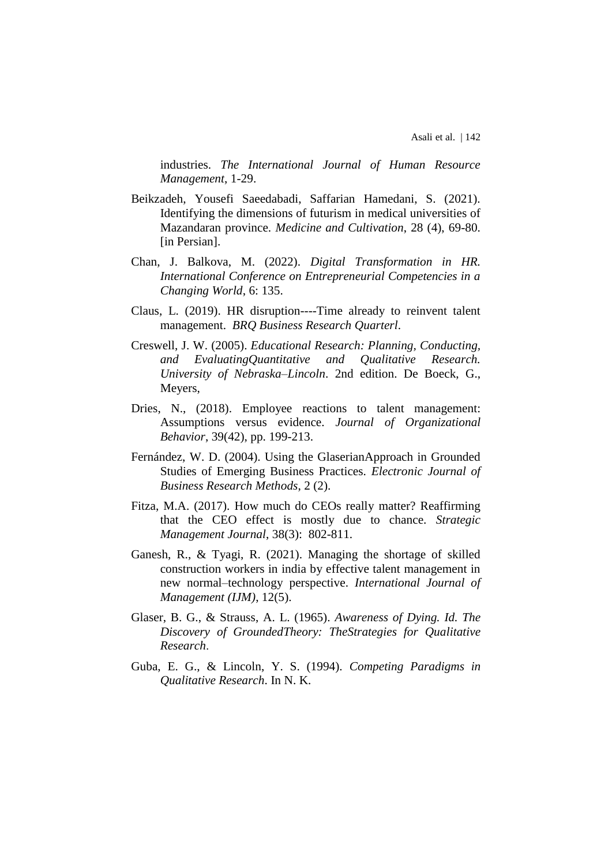industries. *The International Journal of Human Resource Management*, 1-29.

- Beikzadeh, Yousefi Saeedabadi, Saffarian Hamedani, S. (2021). Identifying the dimensions of futurism in medical universities of Mazandaran province. *Medicine and Cultivation*, 28 (4), 69-80. [in Persian].
- Chan, J. Balkova, M. (2022). *Digital Transformation in HR. International Conference on Entrepreneurial Competencies in a Changing World*, 6: 135.
- Claus, L. (2019). HR disruption----Time already to reinvent talent management. *BRQ Business Research Quarterl*.
- Creswell, J. W. (2005). *Educational Research: Planning, Conducting, and EvaluatingQuantitative and Qualitative Research. University of Nebraska–Lincoln*. 2nd edition. De Boeck, G., Meyers,
- Dries, N., (2018). Employee reactions to talent management: Assumptions versus evidence. *Journal of Organizational Behavior*, 39(42), pp. 199-213.
- Fernández, W. D. (2004). Using the GlaserianApproach in Grounded Studies of Emerging Business Practices. *Electronic Journal of Business Research Methods*, 2 (2).
- Fitza, M.A. (2017). How much do CEOs really matter? Reaffirming that the CEO effect is mostly due to chance. *Strategic Management Journal*, 38(3): 802-811.
- Ganesh, R., & Tyagi, R. (2021). Managing the shortage of skilled construction workers in india by effective talent management in new normal–technology perspective. *International Journal of Management (IJM)*, 12(5).
- Glaser, B. G., & Strauss, A. L. (1965). *Awareness of Dying. Id. The Discovery of GroundedTheory: TheStrategies for Qualitative Research*.
- Guba, E. G., & Lincoln, Y. S. (1994). *Competing Paradigms in Qualitative Research*. In N. K.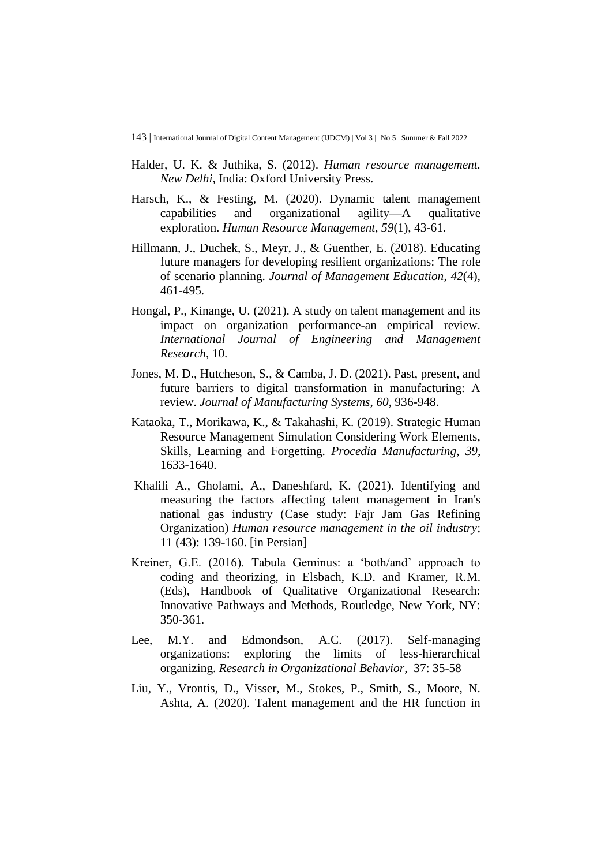143 | International Journal of Digital Content Management (IJDCM) | Vol 3 | No 5 | Summer & Fall 2022

- Halder, U. K. & Juthika, S. (2012). *Human resource management. New Delhi*, India: Oxford University Press.
- Harsch, K., & Festing, M. (2020). Dynamic talent management capabilities and organizational agility—A qualitative exploration. *Human Resource Management*, *59*(1), 43-61.
- Hillmann, J., Duchek, S., Meyr, J., & Guenther, E. (2018). Educating future managers for developing resilient organizations: The role of scenario planning. *Journal of Management Education*, *42*(4), 461-495.
- Hongal, P., Kinange, U. (2021). A study on talent management and its impact on organization performance-an empirical review. *International Journal of Engineering and Management Research*, 10.
- Jones, M. D., Hutcheson, S., & Camba, J. D. (2021). Past, present, and future barriers to digital transformation in manufacturing: A review. *Journal of Manufacturing Systems*, *60*, 936-948.
- Kataoka, T., Morikawa, K., & Takahashi, K. (2019). Strategic Human Resource Management Simulation Considering Work Elements, Skills, Learning and Forgetting. *Procedia Manufacturing*, *39*, 1633-1640.
- Khalili A., Gholami, A., Daneshfard, K. (2021). Identifying and measuring the factors affecting talent management in Iran's national gas industry (Case study: Fajr Jam Gas Refining Organization) *Human resource management in the oil industry*; 11 (43): 139-160. [in Persian]
- Kreiner, G.E. (2016). Tabula Geminus: a 'both/and' approach to coding and theorizing, in Elsbach, K.D. and Kramer, R.M. (Eds), Handbook of Qualitative Organizational Research: Innovative Pathways and Methods, Routledge, New York, NY: 350-361.
- Lee, M.Y. and Edmondson, A.C. (2017). Self-managing organizations: exploring the limits of less-hierarchical organizing. *Research in Organizational Behavior*, 37: 35-58
- Liu, Y., Vrontis, D., Visser, M., Stokes, P., Smith, S., Moore, N. Ashta, A. (2020). Talent management and the HR function in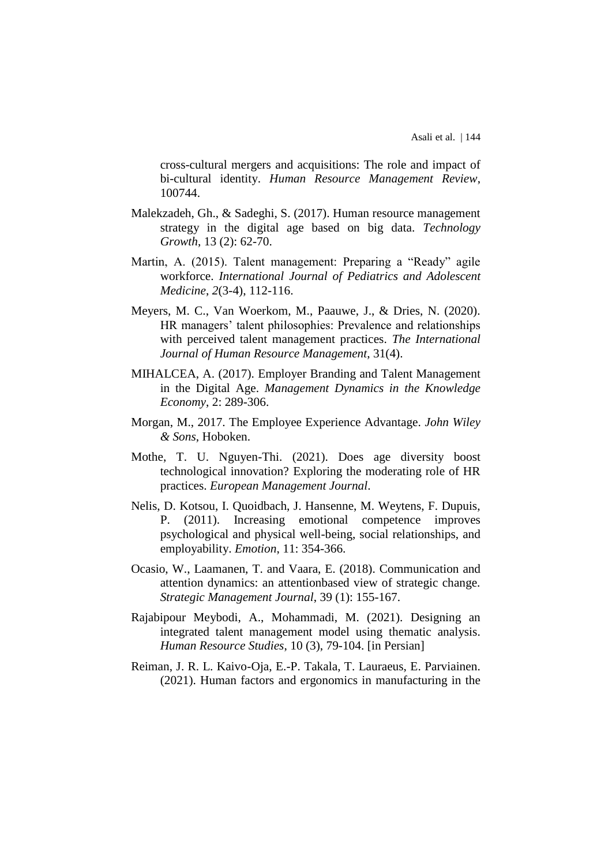cross-cultural mergers and acquisitions: The role and impact of bi-cultural identity. *Human Resource Management Review*, 100744.

- Malekzadeh, Gh., & Sadeghi, S. (2017). Human resource management strategy in the digital age based on big data. *Technology Growth*, 13 (2): 62-70.
- Martin, A. (2015). Talent management: Preparing a "Ready" agile workforce. *International Journal of Pediatrics and Adolescent Medicine*, *2*(3-4), 112-116.
- Meyers, M. C., Van Woerkom, M., Paauwe, J., & Dries, N. (2020). HR managers' talent philosophies: Prevalence and relationships with perceived talent management practices. *The International Journal of Human Resource Management*, 31(4).
- MIHALCEA, A. (2017). Employer Branding and Talent Management in the Digital Age. *Management Dynamics in the Knowledge Economy*, 2: 289-306.
- Morgan, M., 2017. The Employee Experience Advantage. *John Wiley & Sons*, Hoboken.
- Mothe, T. U. Nguyen-Thi. (2021). Does age diversity boost technological innovation? Exploring the moderating role of HR practices. *European Management Journal*.
- Nelis, D. Kotsou, I. Quoidbach, J. Hansenne, M. Weytens, F. Dupuis, P. (2011). Increasing emotional competence improves psychological and physical well-being, social relationships, and employability. *Emotion*, 11: 354-366.
- Ocasio, W., Laamanen, T. and Vaara, E. (2018). Communication and attention dynamics: an attentionbased view of strategic change. *Strategic Management Journal*, 39 (1): 155-167.
- Rajabipour Meybodi, A., Mohammadi, M. (2021). Designing an integrated talent management model using thematic analysis. *Human Resource Studies*, 10 (3), 79-104. [in Persian]
- Reiman, J. R. L. Kaivo-Oja, E.-P. Takala, T. Lauraeus, E. Parviainen. (2021). Human factors and ergonomics in manufacturing in the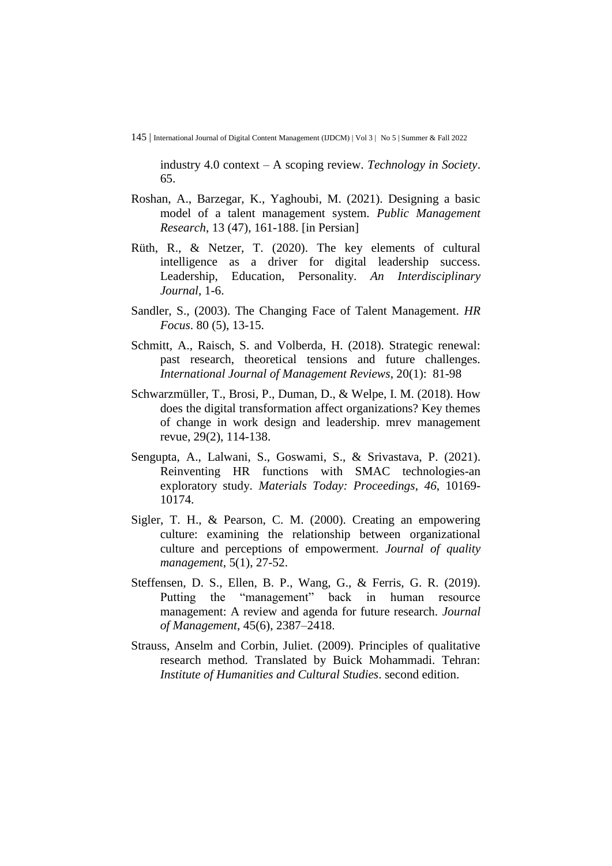145 | International Journal of Digital Content Management (IJDCM) | Vol 3 | No 5 | Summer & Fall 2022

industry 4.0 context – A scoping review. *Technology in Society*. 65.

- Roshan, A., Barzegar, K., Yaghoubi, M. (2021). Designing a basic model of a talent management system. *Public Management Research*, 13 (47), 161-188. [in Persian]
- Rüth, R., & Netzer, T. (2020). The key elements of cultural intelligence as a driver for digital leadership success. Leadership, Education, Personality. *An Interdisciplinary Journal*, 1-6.
- Sandler, S., (2003). The Changing Face of Talent Management. *HR Focus*. 80 (5), 13-15.
- Schmitt, A., Raisch, S. and Volberda, H. (2018). Strategic renewal: past research, theoretical tensions and future challenges. *International Journal of Management Reviews*, 20(1): 81-98
- Schwarzmüller, T., Brosi, P., Duman, D., & Welpe, I. M. (2018). How does the digital transformation affect organizations? Key themes of change in work design and leadership. mrev management revue, 29(2), 114-138.
- Sengupta, A., Lalwani, S., Goswami, S., & Srivastava, P. (2021). Reinventing HR functions with SMAC technologies-an exploratory study. *Materials Today: Proceedings*, *46*, 10169- 10174.
- Sigler, T. H., & Pearson, C. M. (2000). Creating an empowering culture: examining the relationship between organizational culture and perceptions of empowerment. *Journal of quality management*, 5(1), 27-52.
- Steffensen, D. S., Ellen, B. P., Wang, G., & Ferris, G. R. (2019). Putting the "management" back in human resource management: A review and agenda for future research. *Journal of Management*, 45(6), 2387–2418.
- Strauss, Anselm and Corbin, Juliet. (2009). Principles of qualitative research method. Translated by Buick Mohammadi. Tehran: *Institute of Humanities and Cultural Studies*. second edition.